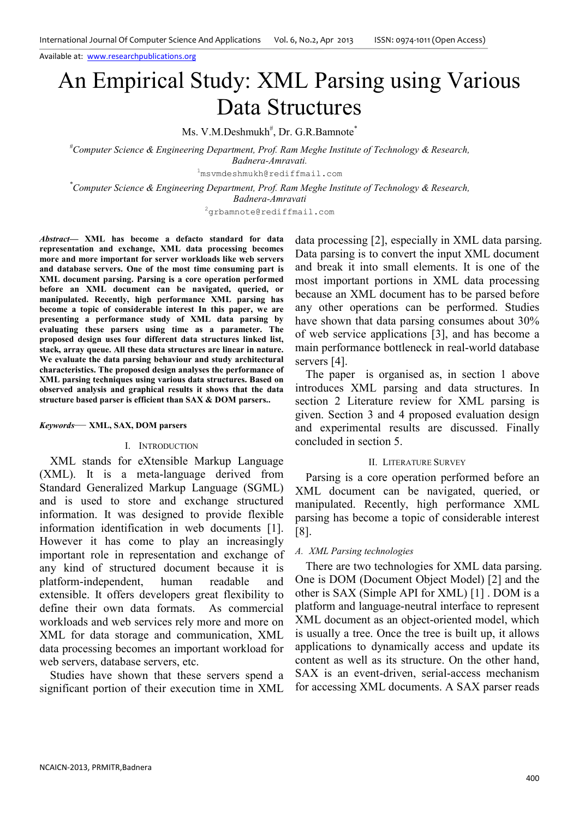# An Empirical Study: XML Parsing using Various Data Structures

Ms. V.M.Deshmukh<sup>#</sup>, Dr. G.R.Bamnote<sup>\*</sup>

*#Computer Science & Engineering Department, Prof. Ram Meghe Institute of Technology & Research, Badnera-Amravati.* 

<sup>1</sup>msvmdeshmukh@rediffmail.com

*\*Computer Science & Engineering Department, Prof. Ram Meghe Institute of Technology & Research, Badnera-Amravati* 

<sup>2</sup>grbamnote@rediffmail.com

*Abstract***— XML has become a defacto standard for data representation and exchange, XML data processing becomes more and more important for server workloads like web servers and database servers. One of the most time consuming part is XML document parsing. Parsing is a core operation performed before an XML document can be navigated, queried, or manipulated. Recently, high performance XML parsing has become a topic of considerable interest In this paper, we are presenting a performance study of XML data parsing by evaluating these parsers using time as a parameter. The proposed design uses four different data structures linked list, stack, array queue. All these data structures are linear in nature. We evaluate the data parsing behaviour and study architectural characteristics. The proposed design analyses the performance of XML parsing techniques using various data structures. Based on observed analysis and graphical results it shows that the data structure based parser is efficient than SAX & DOM parsers..** 

#### *Keywords*— **XML, SAX, DOM parsers**

#### I. INTRODUCTION

XML stands for eXtensible Markup Language (XML). It is a meta-language derived from Standard Generalized Markup Language (SGML) and is used to store and exchange structured information. It was designed to provide flexible information identification in web documents [1]. However it has come to play an increasingly important role in representation and exchange of any kind of structured document because it is platform-independent, human readable and extensible. It offers developers great flexibility to define their own data formats. As commercial workloads and web services rely more and more on XML for data storage and communication, XML data processing becomes an important workload for web servers, database servers, etc.

Studies have shown that these servers spend a significant portion of their execution time in XML data processing [2], especially in XML data parsing. Data parsing is to convert the input XML document and break it into small elements. It is one of the most important portions in XML data processing because an XML document has to be parsed before any other operations can be performed. Studies have shown that data parsing consumes about 30% of web service applications [3], and has become a main performance bottleneck in real-world database servers [4].

The paper is organised as, in section 1 above introduces XML parsing and data structures. In section 2 Literature review for XML parsing is given. Section 3 and 4 proposed evaluation design and experimental results are discussed. Finally concluded in section 5.

## II. LITERATURE SURVEY

Parsing is a core operation performed before an XML document can be navigated, queried, or manipulated. Recently, high performance XML parsing has become a topic of considerable interest [8].

#### *A. XML Parsing technologies*

There are two technologies for XML data parsing. One is DOM (Document Object Model) [2] and the other is SAX (Simple API for XML) [1] . DOM is a platform and language-neutral interface to represent XML document as an object-oriented model, which is usually a tree. Once the tree is built up, it allows applications to dynamically access and update its content as well as its structure. On the other hand, SAX is an event-driven, serial-access mechanism for accessing XML documents. A SAX parser reads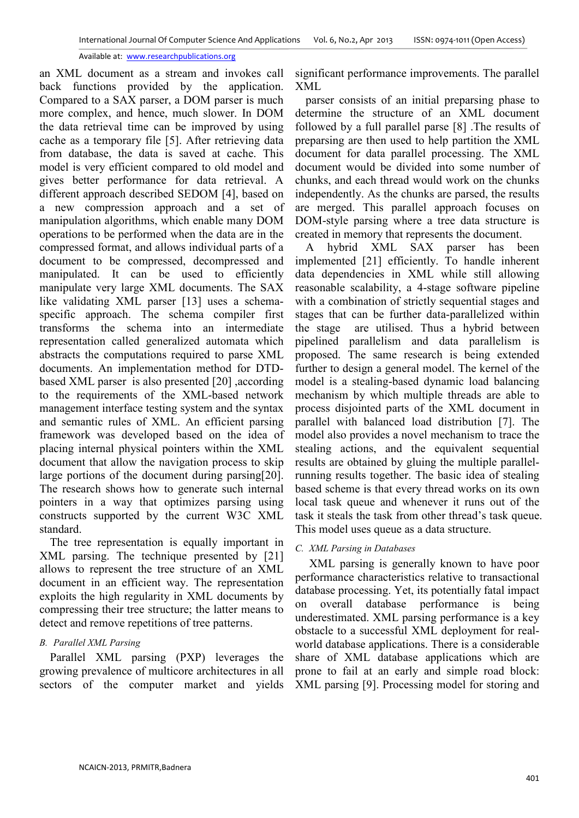an XML document as a stream and invokes call back functions provided by the application. Compared to a SAX parser, a DOM parser is much more complex, and hence, much slower. In DOM the data retrieval time can be improved by using cache as a temporary file [5]. After retrieving data from database, the data is saved at cache. This model is very efficient compared to old model and gives better performance for data retrieval. A different approach described SEDOM [4], based on a new compression approach and a set of manipulation algorithms, which enable many DOM operations to be performed when the data are in the compressed format, and allows individual parts of a document to be compressed, decompressed and manipulated. It can be used to efficiently manipulate very large XML documents. The SAX like validating XML parser [13] uses a schemaspecific approach. The schema compiler first transforms the schema into an intermediate representation called generalized automata which abstracts the computations required to parse XML documents. An implementation method for DTDbased XML parser is also presented [20] ,according to the requirements of the XML-based network management interface testing system and the syntax and semantic rules of XML. An efficient parsing framework was developed based on the idea of placing internal physical pointers within the XML document that allow the navigation process to skip large portions of the document during parsing[20]. The research shows how to generate such internal pointers in a way that optimizes parsing using constructs supported by the current W3C XML standard.

The tree representation is equally important in XML parsing. The technique presented by [21] allows to represent the tree structure of an XML document in an efficient way. The representation exploits the high regularity in XML documents by compressing their tree structure; the latter means to detect and remove repetitions of tree patterns.

## *B. Parallel XML Parsing*

Parallel XML parsing (PXP) leverages the growing prevalence of multicore architectures in all sectors of the computer market and yields

significant performance improvements. The parallel XML

parser consists of an initial preparsing phase to determine the structure of an XML document followed by a full parallel parse [8] .The results of preparsing are then used to help partition the XML document for data parallel processing. The XML document would be divided into some number of chunks, and each thread would work on the chunks independently. As the chunks are parsed, the results are merged. This parallel approach focuses on DOM-style parsing where a tree data structure is created in memory that represents the document.

A hybrid XML SAX parser has been implemented [21] efficiently. To handle inherent data dependencies in XML while still allowing reasonable scalability, a 4-stage software pipeline with a combination of strictly sequential stages and stages that can be further data-parallelized within the stage are utilised. Thus a hybrid between pipelined parallelism and data parallelism is proposed. The same research is being extended further to design a general model. The kernel of the model is a stealing-based dynamic load balancing mechanism by which multiple threads are able to process disjointed parts of the XML document in parallel with balanced load distribution [7]. The model also provides a novel mechanism to trace the stealing actions, and the equivalent sequential results are obtained by gluing the multiple parallelrunning results together. The basic idea of stealing based scheme is that every thread works on its own local task queue and whenever it runs out of the task it steals the task from other thread's task queue. This model uses queue as a data structure.

## *C. XML Parsing in Databases*

XML parsing is generally known to have poor performance characteristics relative to transactional database processing. Yet, its potentially fatal impact on overall database performance is being underestimated. XML parsing performance is a key obstacle to a successful XML deployment for realworld database applications. There is a considerable share of XML database applications which are prone to fail at an early and simple road block: XML parsing [9]. Processing model for storing and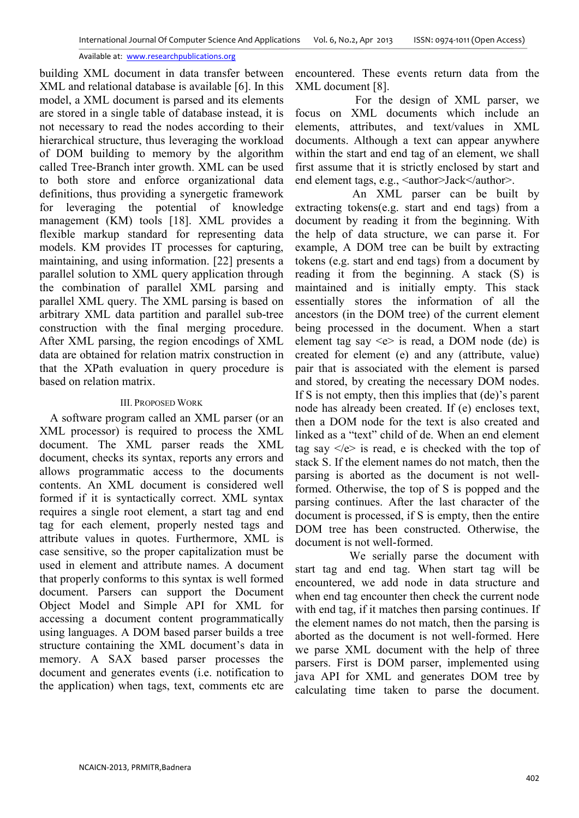building XML document in data transfer between XML and relational database is available [6]. In this model, a XML document is parsed and its elements are stored in a single table of database instead, it is not necessary to read the nodes according to their hierarchical structure, thus leveraging the workload of DOM building to memory by the algorithm called Tree-Branch inter growth. XML can be used to both store and enforce organizational data definitions, thus providing a synergetic framework for leveraging the potential of knowledge management (KM) tools [18]. XML provides a flexible markup standard for representing data models. KM provides IT processes for capturing, maintaining, and using information. [22] presents a parallel solution to XML query application through the combination of parallel XML parsing and parallel XML query. The XML parsing is based on arbitrary XML data partition and parallel sub-tree construction with the final merging procedure. After XML parsing, the region encodings of XML data are obtained for relation matrix construction in that the XPath evaluation in query procedure is based on relation matrix.

## III. PROPOSED WORK

A software program called an XML parser (or an XML processor) is required to process the XML document. The XML parser reads the XML document, checks its syntax, reports any errors and allows programmatic access to the documents contents. An XML document is considered well formed if it is syntactically correct. XML syntax requires a single root element, a start tag and end tag for each element, properly nested tags and attribute values in quotes. Furthermore, XML is case sensitive, so the proper capitalization must be used in element and attribute names. A document that properly conforms to this syntax is well formed document. Parsers can support the Document Object Model and Simple API for XML for accessing a document content programmatically using languages. A DOM based parser builds a tree structure containing the XML document's data in memory. A SAX based parser processes the document and generates events (i.e. notification to the application) when tags, text, comments etc are

encountered. These events return data from the XML document [8].

 For the design of XML parser, we focus on XML documents which include an elements, attributes, and text/values in XML documents. Although a text can appear anywhere within the start and end tag of an element, we shall first assume that it is strictly enclosed by start and end element tags, e.g., <author>Jack</author>.

 An XML parser can be built by extracting tokens(e.g. start and end tags) from a document by reading it from the beginning. With the help of data structure, we can parse it. For example, A DOM tree can be built by extracting tokens (e.g. start and end tags) from a document by reading it from the beginning. A stack (S) is maintained and is initially empty. This stack essentially stores the information of all the ancestors (in the DOM tree) of the current element being processed in the document. When a start element tag say  $\leq e$  is read, a DOM node (de) is created for element (e) and any (attribute, value) pair that is associated with the element is parsed and stored, by creating the necessary DOM nodes. If S is not empty, then this implies that (de)'s parent node has already been created. If (e) encloses text, then a DOM node for the text is also created and linked as a "text" child of de. When an end element tag say  $\langle e \rangle$  is read, e is checked with the top of stack S. If the element names do not match, then the parsing is aborted as the document is not wellformed. Otherwise, the top of S is popped and the parsing continues. After the last character of the document is processed, if S is empty, then the entire DOM tree has been constructed. Otherwise, the document is not well-formed.

 We serially parse the document with start tag and end tag. When start tag will be encountered, we add node in data structure and when end tag encounter then check the current node with end tag, if it matches then parsing continues. If the element names do not match, then the parsing is aborted as the document is not well-formed. Here we parse XML document with the help of three parsers. First is DOM parser, implemented using java API for XML and generates DOM tree by calculating time taken to parse the document.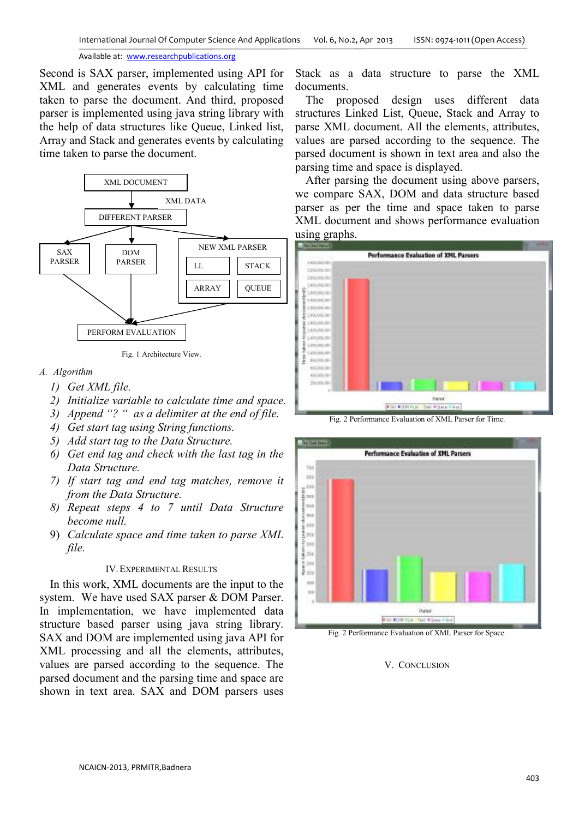Second is SAX parser, implemented using API for XML and generates events by calculating time taken to parse the document. And third, proposed parser is implemented using java string library with the help of data structures like Queue, Linked list, Array and Stack and generates events by calculating time taken to parse the document.



Fig. 1 Architecture View.

## *A. Algorithm*

- *1) Get XML file.*
- *2) Initialize variable to calculate time and space.*
- *3) Append "? " as a delimiter at the end of file.*
- *4) Get start tag using String functions.*
- *5) Add start tag to the Data Structure.*
- *6) Get end tag and check with the last tag in the Data Structure.*
- *7) If start tag and end tag matches, remove it from the Data Structure.*
- *8) Repeat steps 4 to 7 until Data Structure become null.*
- 9) *Calculate space and time taken to parse XML file.*

## IV.EXPERIMENTAL RESULTS

In this work, XML documents are the input to the system. We have used SAX parser & DOM Parser. In implementation, we have implemented data structure based parser using java string library. SAX and DOM are implemented using java API for XML processing and all the elements, attributes, values are parsed according to the sequence. The parsed document and the parsing time and space are shown in text area. SAX and DOM parsers uses

Stack as a data structure to parse the XML documents.

The proposed design uses different data structures Linked List, Queue, Stack and Array to parse XML document. All the elements, attributes, values are parsed according to the sequence. The parsed document is shown in text area and also the parsing time and space is displayed.

After parsing the document using above parsers, we compare SAX, DOM and data structure based parser as per the time and space taken to parse XML document and shows performance evaluation using graphs.



Fig. 2 Performance Evaluation of XML Parser for Time.



Fig. 2 Performance Evaluation of XML Parser for Space.

## V. CONCLUSION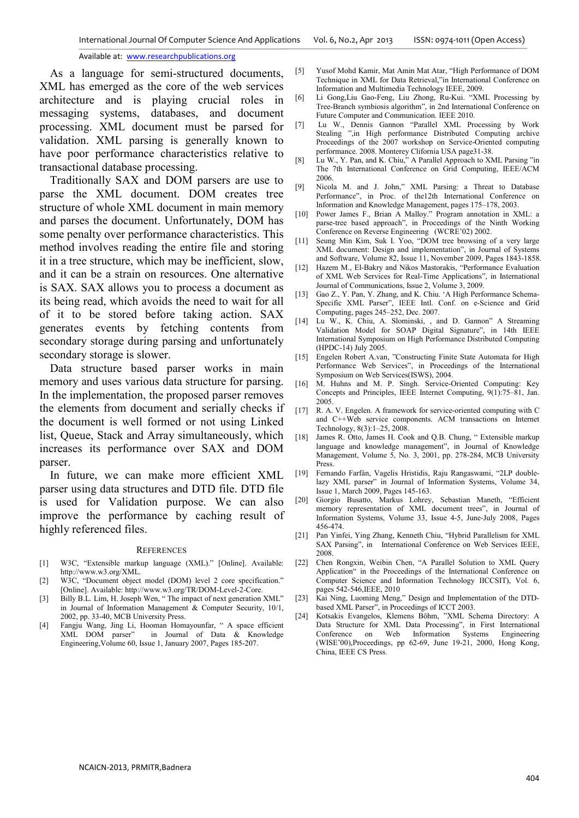As a language for semi-structured documents, XML has emerged as the core of the web services architecture and is playing crucial roles in messaging systems, databases, and document processing. XML document must be parsed for validation. XML parsing is generally known to have poor performance characteristics relative to transactional database processing.

Traditionally SAX and DOM parsers are use to parse the XML document. DOM creates tree structure of whole XML document in main memory and parses the document. Unfortunately, DOM has some penalty over performance characteristics. This method involves reading the entire file and storing it in a tree structure, which may be inefficient, slow, and it can be a strain on resources. One alternative is SAX. SAX allows you to process a document as its being read, which avoids the need to wait for all of it to be stored before taking action. SAX generates events by fetching contents from secondary storage during parsing and unfortunately secondary storage is slower.

Data structure based parser works in main memory and uses various data structure for parsing. In the implementation, the proposed parser removes the elements from document and serially checks if the document is well formed or not using Linked list, Queue, Stack and Array simultaneously, which increases its performance over SAX and DOM parser.

In future, we can make more efficient XML parser using data structures and DTD file. DTD file is used for Validation purpose. We can also improve the performance by caching result of highly referenced files.

#### **REFERENCES**

- [1] W3C, "Extensible markup language (XML)." [Online]. Available: http://www.w3.org/XML.
- [2] W3C, "Document object model (DOM) level 2 core specification." [Online]. Available: http://www.w3.org/TR/DOM-Level-2-Core.
- [3] Billy B.L. Lim, H. Joseph Wen, "The impact of next generation XML" in Journal of Information Management & Computer Security, 10/1, 2002, pp. 33-40, MCB University Press.
- [4] Fangju Wang, Jing Li, Hooman Homayounfar, " A space efficient XML DOM parser" in Journal of Data & Knowledge Engineering,Volume 60, Issue 1, January 2007, Pages 185-207.
- [5] Yusof Mohd Kamir, Mat Amin Mat Atar, "High Performance of DOM Technique in XML for Data Retrieval,"in International Conference on Information and Multimedia Technology IEEE, 2009.
- [6] Li Gong,Liu Gao-Feng, Liu Zhong, Ru-Kui. "XML Processing by Tree-Branch symbiosis algorithm", in 2nd International Conference on Future Computer and Communication. IEEE 2010.
- [7] Lu W., Dennis Gannon "Parallel XML Processing by Work Stealing ",in High performance Distributed Computing archive Proceedings of the 2007 workshop on Service-Oriented computing performance. 2008. Monterey Clifornia USA page31-38.
- [8] Lu W., Y. Pan, and K. Chiu," A Parallel Approach to XML Parsing "in The 7th International Conference on Grid Computing, IEEE/ACM 2006.
- [9] Nicola M. and J. John," XML Parsing: a Threat to Database Performance", in Proc. of the12th International Conference on Information and Knowledge Management, pages 175–178, 2003.
- [10] Power James F., Brian A Malloy." Program annotation in XML: a parse-tree based approach", in Proceedings of the Ninth Working Conference on Reverse Engineering (WCRE'02) 2002.
- [11] Seung Min Kim, Suk I. Yoo, "DOM tree browsing of a very large XML document: Design and implementation", in Journal of Systems and Software, Volume 82, Issue 11, November 2009, Pages 1843-1858.
- [12] Hazem M., El-Bakry and Nikos Mastorakis, "Performance Evaluation of XML Web Services for Real-Time Applications", in International Journal of Communications, Issue 2, Volume 3, 2009.
- [13] Gao Z., Y. Pan, Y. Zhang, and K. Chiu. 'A High Performance Schema-Specific XML Parser", IEEE Intl. Conf. on e-Science and Grid Computing, pages 245–252, Dec. 2007.
- [14] Lu W., K. Chiu, A. Slominski, , and D. Gannon" A Streaming Validation Model for SOAP Digital Signature", in 14th IEEE International Symposium on High Performance Distributed Computing (HPDC-14) July 2005.
- [15] Engelen Robert A.van, "Constructing Finite State Automata for High Performance Web Services", in Proceedings of the International Symposium on Web Services(ISWS), 2004.
- [16] M. Huhns and M. P. Singh. Service-Oriented Computing: Key Concepts and Principles, IEEE Internet Computing, 9(1):75–81, Jan. 2005.
- [17] R. A. V. Engelen. A framework for service-oriented computing with C and C++Web service components. ACM transactions on Internet Technology, 8(3):1–25, 2008.
- [18] James R. Otto, James H. Cook and Q.B. Chung, " Extensible markup language and knowledge management", in Journal of Knowledge Management, Volume 5, No. 3, 2001, pp. 278-284, MCB University Press.
- [19] Fernando Farfán, Vagelis Hristidis, Raju Rangaswami, "2LP doublelazy XML parser" in Journal of Information Systems, Volume 34, Issue 1, March 2009, Pages 145-163.
- [20] Giorgio Busatto, Markus Lohrey, Sebastian Maneth, "Efficient memory representation of XML document trees", in Journal of Information Systems, Volume 33, Issue 4-5, June-July 2008, Pages 456-474.
- [21] Pan Yinfei, Ying Zhang, Kenneth Chiu, "Hybrid Parallelism for XML SAX Parsing", in International Conference on Web Services IEEE, 2008.
- [22] Chen Rongxin, Weibin Chen, "A Parallel Solution to XML Query Application" in the Proceedings of the International Conference on Computer Science and Information Technology IICCSIT), Vol. 6, pages 542-546,IEEE, 2010
- [23] Kai Ning, Luoming Meng," Design and Implementation of the DTDbased XML Parser", in Proceedings of ICCT 2003.
- [24] Kotsakis Evangelos, Klemens Böhm, "XML Schema Directory: A Data Structure for XML Data Processing", in First International Conference on Web Information Systems Engineering (WISE'00),Proceedings, pp 62-69, June 19-21, 2000, Hong Kong, China, IEEE CS Press.